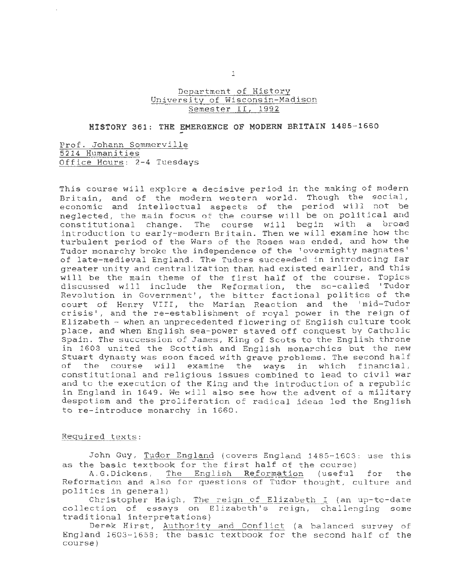## Department of History University of Wisconsin-Madison Semester II, 1992

## **HISTORY 361: THE EMERGENCE OF MODERN BRITAIN 1485-1660**

Prof. Johann Sommerville 5214 Humanities Office Hours: 2-4 Tuesdays

This course will explore a decisive period *in* the making of modern Britain, and of the modern western world. Though the social, economic and intellectual aspects of the period will not be neglected, the main focus of the course will be on political and constitutional change. The course will begin with a broad introduction to early-modern Britain. Then we will examine how the turbulent period of the Wars of the Roses was ended, and how the Tudor monarchy broke the independence of the 'overmighty magnates' of late-medieval England. The Tudors succeeded in introducing far greater unity and centralization than had existed earlier, and this will be the main theme of the first half of the course. Topics discussed will include the Reformation, the so-called 'Tudor Revolution *in* Government', the bitter factional politics of the court of Henry VIII, the Marian Reaction and the 'mid-Tudor crisis', and the re-establishment of royal power in the reign of Elizabeth - when an unprecedented flowering of English culture took place, and when English sea- power staved off conquest by Catholic Spain . The succession of James, *King* of Scots to the English throne *in* 1603 united the Scottish and English monarchies but the new Stuart dynasty was soon faced with grave problems. The second half of the course will examine the ways in which financial, constitutional and religious issues combined to lead to *civil* war and to the execution of the King and the introduction of a republic in England in 1649. We will also see how the advent of a military despotism and the proliferation of radical ideas led the English to re-introduce monarchy in 1660.

#### Required texts:

John Guy, Tudor England (covers England 1485-1603: use this as the basic textbook for the first half of the course)

A. G. Dickens, The English Reformat *ion* (useful for the Reformation and also for questions of Tudor thought, culture and politics in general)

Christopher Haigh, The reign of Elizabeth I (an up-to-date collection of essays on Elizabeth's reign, challenging some traditional interpretations)

Derek Hirst, Authority and Conflict (a balanced survey of England 1603-1658; the basic textbook for the second half of the course)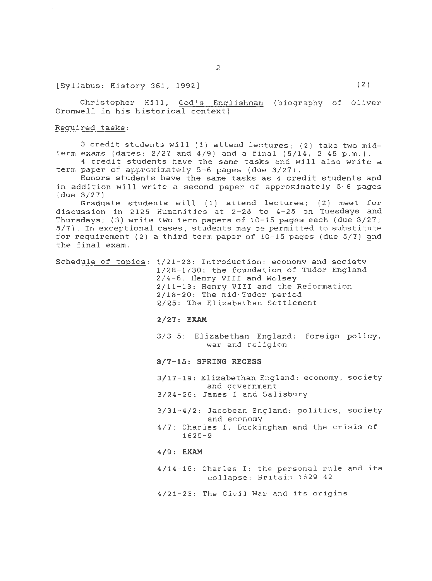# $[Sy1labus: History 361, 1992]$  (2)

Christopher Hill, God's Enqlishman (biography of Oliver Cromwell in *his* historical context)

#### Required tasks:

3 credit students will (1) attend lectures; (2) take two midterm exams (dates:  $2/27$  and  $4/9$ ) and a final  $(5/14, 2-45 p.m. )$ . 4 credit students have the same tasks and will also write a

term paper of approximately 5-6 pages (due 3/27).

Honors students have the same tasks as 4 credit students and in addition will write a second paper of approximately 5-6 pages (due 3/27)

Graduate students will (1) attend lectures; (2) meet for discussion in 2125 Humanities at 2-25 to 4-25 on Tuesdays and Thursdays; (3) write two term papers of 10-15 pages each (due 3/27; 5/7). In exceptional cases, students may be permitted to substitute for requirement (2) a third term paper of 10-15 pages (due 5/7) and the final exam.

Schedule of topics: 1/21-23: Introduction: economy and society 1/28-1/30: the foundation of Tudor England 2/4-6: Henry VIII and Wolsey 2/11-13 : Henry VIII and the Reformation 2/18-20: The mid-Tudor period 2/25: The Elizabethan Settlement

#### **2 /27 : EXAM**

3/3-5: Elizabethan England: foreign policy, war and religion

### **3/7-15 : SPRING RECESS**

3/17-19: Elizabethan England: economy, society and government

3/24-26: James I and Salisbury

- 3/31-4/2: Jacobean England: politics, society and economy
- 4/7: Charles I, Buckingham and the crisis of 1625-9

#### **4/9: EXAM**

4/14- 16: Charles I: the personal rule and its collapse: Britain 1629-42

4/21-23 : The Civil War and its origins